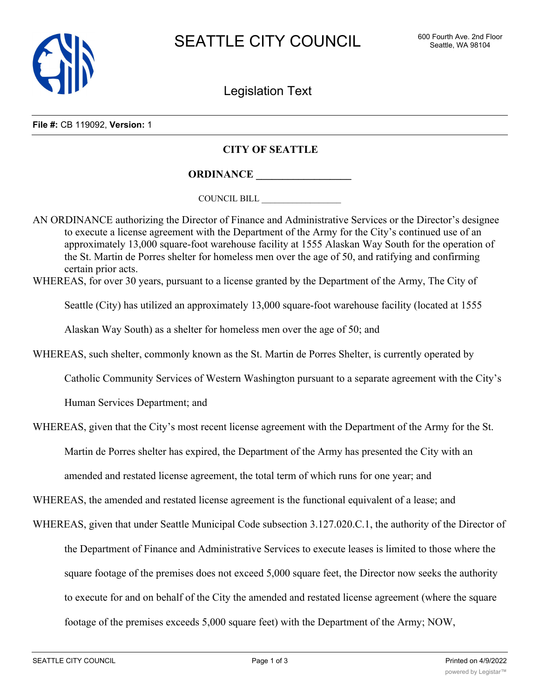

Legislation Text

**File #:** CB 119092, **Version:** 1

## **CITY OF SEATTLE**

**ORDINANCE \_\_\_\_\_\_\_\_\_\_\_\_\_\_\_\_\_\_**

COUNCIL BILL \_\_\_\_\_\_\_\_\_\_\_\_\_\_\_\_\_\_

AN ORDINANCE authorizing the Director of Finance and Administrative Services or the Director's designee to execute a license agreement with the Department of the Army for the City's continued use of an approximately 13,000 square-foot warehouse facility at 1555 Alaskan Way South for the operation of the St. Martin de Porres shelter for homeless men over the age of 50, and ratifying and confirming certain prior acts.

WHEREAS, for over 30 years, pursuant to a license granted by the Department of the Army, The City of

Seattle (City) has utilized an approximately 13,000 square-foot warehouse facility (located at 1555

Alaskan Way South) as a shelter for homeless men over the age of 50; and

WHEREAS, such shelter, commonly known as the St. Martin de Porres Shelter, is currently operated by

Catholic Community Services of Western Washington pursuant to a separate agreement with the City's

Human Services Department; and

WHEREAS, given that the City's most recent license agreement with the Department of the Army for the St.

Martin de Porres shelter has expired, the Department of the Army has presented the City with an

amended and restated license agreement, the total term of which runs for one year; and

WHEREAS, the amended and restated license agreement is the functional equivalent of a lease; and

WHEREAS, given that under Seattle Municipal Code subsection 3.127.020.C.1, the authority of the Director of the Department of Finance and Administrative Services to execute leases is limited to those where the square footage of the premises does not exceed 5,000 square feet, the Director now seeks the authority to execute for and on behalf of the City the amended and restated license agreement (where the square footage of the premises exceeds 5,000 square feet) with the Department of the Army; NOW,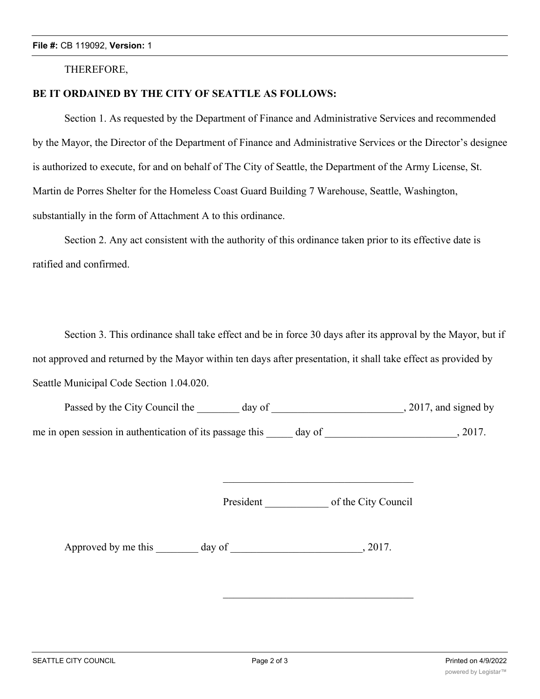THEREFORE,

## **BE IT ORDAINED BY THE CITY OF SEATTLE AS FOLLOWS:**

Section 1. As requested by the Department of Finance and Administrative Services and recommended by the Mayor, the Director of the Department of Finance and Administrative Services or the Director's designee is authorized to execute, for and on behalf of The City of Seattle, the Department of the Army License, St. Martin de Porres Shelter for the Homeless Coast Guard Building 7 Warehouse, Seattle, Washington, substantially in the form of Attachment A to this ordinance.

Section 2. Any act consistent with the authority of this ordinance taken prior to its effective date is ratified and confirmed.

Section 3. This ordinance shall take effect and be in force 30 days after its approval by the Mayor, but if not approved and returned by the Mayor within ten days after presentation, it shall take effect as provided by Seattle Municipal Code Section 1.04.020.

| Passed by the City Council the                           | day of | , 2017, and signed by |
|----------------------------------------------------------|--------|-----------------------|
| me in open session in authentication of its passage this | day of | 2017.                 |

President of the City Council

\_\_\_\_\_\_\_\_\_\_\_\_\_\_\_\_\_\_\_\_\_\_\_\_\_\_\_\_\_\_\_\_\_\_\_\_

Approved by me this day of 3017.